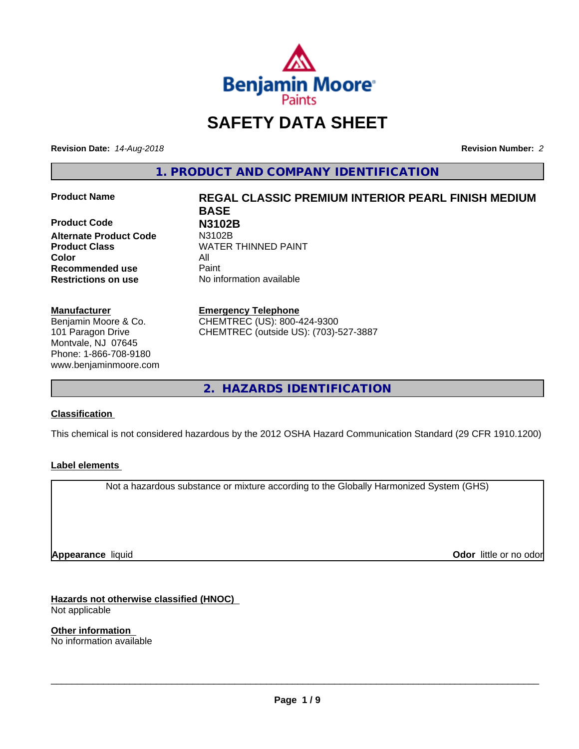

# **SAFETY DATA SHEET**

**Revision Date:** *14-Aug-2018* **Revision Number:** *2*

**1. PRODUCT AND COMPANY IDENTIFICATION**

**Product Code N3102B Alternate Product Code Color** All **Recommended use** Paint **Restrictions on use** No information available

#### **Manufacturer**

Benjamin Moore & Co. 101 Paragon Drive Montvale, NJ 07645 Phone: 1-866-708-9180 www.benjaminmoore.com

# **Product Name REGAL CLASSIC PREMIUM INTERIOR PEARL FINISH MEDIUM BASE Product Class WATER THINNED PAINT**

#### **Emergency Telephone**

CHEMTREC (US): 800-424-9300 CHEMTREC (outside US): (703)-527-3887

**2. HAZARDS IDENTIFICATION**

#### **Classification**

This chemical is not considered hazardous by the 2012 OSHA Hazard Communication Standard (29 CFR 1910.1200)

#### **Label elements**

Not a hazardous substance or mixture according to the Globally Harmonized System (GHS)

**Appearance** liquid

**Odor** little or no odor

**Hazards not otherwise classified (HNOC)** Not applicable

**Other information** No information available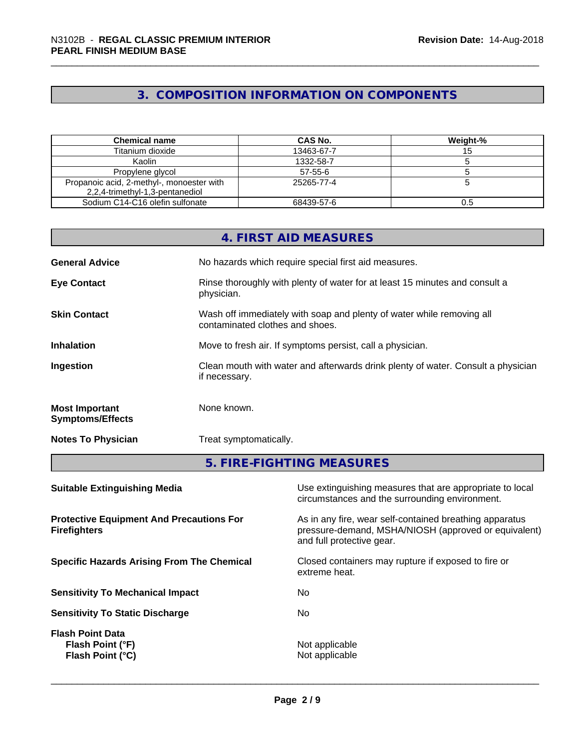# **3. COMPOSITION INFORMATION ON COMPONENTS**

| <b>Chemical name</b>                                                         | CAS No.       | Weight-% |
|------------------------------------------------------------------------------|---------------|----------|
| Titanium dioxide                                                             | 13463-67-7    |          |
| Kaolin                                                                       | 1332-58-7     |          |
| Propylene glycol                                                             | $57 - 55 - 6$ |          |
| Propanoic acid, 2-methyl-, monoester with<br>2,2,4-trimethyl-1,3-pentanediol | 25265-77-4    |          |
| Sodium C14-C16 olefin sulfonate                                              | 68439-57-6    |          |

| No hazards which require special first aid measures.<br>Rinse thoroughly with plenty of water for at least 15 minutes and consult a<br>physician.<br>Wash off immediately with soap and plenty of water while removing all<br>contaminated clothes and shoes.<br>Move to fresh air. If symptoms persist, call a physician.<br>if necessary.<br>None known.<br>Treat symptomatically. |                                                  | 5. FIRE-FIGHTING MEASURES                                                        |
|--------------------------------------------------------------------------------------------------------------------------------------------------------------------------------------------------------------------------------------------------------------------------------------------------------------------------------------------------------------------------------------|--------------------------------------------------|----------------------------------------------------------------------------------|
|                                                                                                                                                                                                                                                                                                                                                                                      | <b>Notes To Physician</b>                        |                                                                                  |
|                                                                                                                                                                                                                                                                                                                                                                                      | <b>Most Important</b><br><b>Symptoms/Effects</b> |                                                                                  |
|                                                                                                                                                                                                                                                                                                                                                                                      | Ingestion                                        | Clean mouth with water and afterwards drink plenty of water. Consult a physician |
|                                                                                                                                                                                                                                                                                                                                                                                      | <b>Inhalation</b>                                |                                                                                  |
|                                                                                                                                                                                                                                                                                                                                                                                      | <b>Skin Contact</b>                              |                                                                                  |
|                                                                                                                                                                                                                                                                                                                                                                                      | <b>Eye Contact</b>                               |                                                                                  |
|                                                                                                                                                                                                                                                                                                                                                                                      | <b>General Advice</b>                            |                                                                                  |
| 4. FIRST AID MEASURES                                                                                                                                                                                                                                                                                                                                                                |                                                  |                                                                                  |

| Use extinguishing measures that are appropriate to local<br>circumstances and the surrounding environment.                                   |
|----------------------------------------------------------------------------------------------------------------------------------------------|
| As in any fire, wear self-contained breathing apparatus<br>pressure-demand, MSHA/NIOSH (approved or equivalent)<br>and full protective gear. |
| Closed containers may rupture if exposed to fire or<br>extreme heat.                                                                         |
| No.                                                                                                                                          |
| No.                                                                                                                                          |
| Not applicable<br>Not applicable                                                                                                             |
|                                                                                                                                              |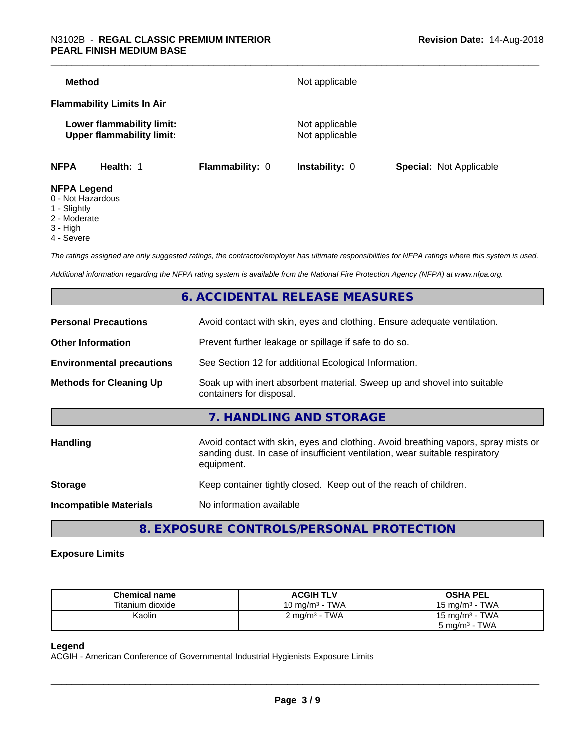| Method                                                        |                        | Not applicable                   |                                |
|---------------------------------------------------------------|------------------------|----------------------------------|--------------------------------|
| <b>Flammability Limits In Air</b>                             |                        |                                  |                                |
| Lower flammability limit:<br><b>Upper flammability limit:</b> |                        | Not applicable<br>Not applicable |                                |
| <b>NFPA</b><br>Health: 1                                      | <b>Flammability: 0</b> | <b>Instability: 0</b>            | <b>Special: Not Applicable</b> |
| <b>NFPA Legend</b><br>0 - Not Hazardous                       |                        |                                  |                                |

- 1 Slightly
- 2 Moderate
- 3 High
- 4 Severe

*The ratings assigned are only suggested ratings, the contractor/employer has ultimate responsibilities for NFPA ratings where this system is used.*

*Additional information regarding the NFPA rating system is available from the National Fire Protection Agency (NFPA) at www.nfpa.org.*

# **6. ACCIDENTAL RELEASE MEASURES**

| <b>Personal Precautions</b>      | Avoid contact with skin, eyes and clothing. Ensure adequate ventilation.                                                                                                         |  |
|----------------------------------|----------------------------------------------------------------------------------------------------------------------------------------------------------------------------------|--|
| <b>Other Information</b>         | Prevent further leakage or spillage if safe to do so.                                                                                                                            |  |
| <b>Environmental precautions</b> | See Section 12 for additional Ecological Information.                                                                                                                            |  |
| <b>Methods for Cleaning Up</b>   | Soak up with inert absorbent material. Sweep up and shovel into suitable<br>containers for disposal.                                                                             |  |
|                                  | 7. HANDLING AND STORAGE                                                                                                                                                          |  |
| Handling                         | Avoid contact with skin, eyes and clothing. Avoid breathing vapors, spray mists or<br>sanding dust. In case of insufficient ventilation, wear suitable respiratory<br>equipment. |  |
| <b>Storage</b>                   | Keep container tightly closed. Keep out of the reach of children.                                                                                                                |  |
| <b>Incompatible Materials</b>    | No information available                                                                                                                                                         |  |
|                                  |                                                                                                                                                                                  |  |

**8. EXPOSURE CONTROLS/PERSONAL PROTECTION**

#### **Exposure Limits**

| <b>Chemical name</b> | <b>ACGIH TLV</b>                               | <b>OSHA PEL</b>                     |
|----------------------|------------------------------------------------|-------------------------------------|
| Titanium dioxide     | ∙ TWA<br>10 mg/m $^3$ -                        | TWA<br>15 mg/m <sup>3</sup> $\cdot$ |
| Kaolin               | TWA<br>$\angle$ mg/m <sup>3</sup> - $\sqrt{ }$ | 15 mg/m $3$ - TWA                   |
|                      |                                                | TWA<br>5 mg/m <sup>3</sup> -        |

#### **Legend**

ACGIH - American Conference of Governmental Industrial Hygienists Exposure Limits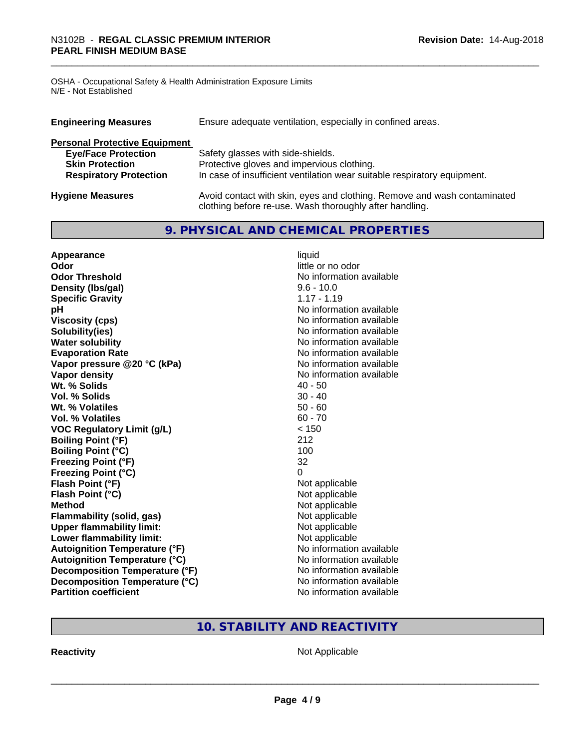OSHA - Occupational Safety & Health Administration Exposure Limits N/E - Not Established

| Ensure adequate ventilation, especially in confined areas.<br><b>Engineering Measures</b> |                                                                                                                                     |  |  |  |
|-------------------------------------------------------------------------------------------|-------------------------------------------------------------------------------------------------------------------------------------|--|--|--|
| <b>Personal Protective Equipment</b>                                                      |                                                                                                                                     |  |  |  |
| <b>Eye/Face Protection</b>                                                                | Safety glasses with side-shields.                                                                                                   |  |  |  |
| <b>Skin Protection</b>                                                                    | Protective gloves and impervious clothing.                                                                                          |  |  |  |
| <b>Respiratory Protection</b>                                                             | In case of insufficient ventilation wear suitable respiratory equipment.                                                            |  |  |  |
| <b>Hygiene Measures</b>                                                                   | Avoid contact with skin, eyes and clothing. Remove and wash contaminated<br>clothing before re-use. Wash thoroughly after handling. |  |  |  |

# **9. PHYSICAL AND CHEMICAL PROPERTIES**

| Appearance                           | liquid                   |
|--------------------------------------|--------------------------|
| Odor                                 | little or no odor        |
| <b>Odor Threshold</b>                | No information available |
| Density (Ibs/gal)                    | $9.6 - 10.0$             |
| <b>Specific Gravity</b>              | $1.17 - 1.19$            |
| pH                                   | No information available |
| <b>Viscosity (cps)</b>               | No information available |
| Solubility(ies)                      | No information available |
| <b>Water solubility</b>              | No information available |
| <b>Evaporation Rate</b>              | No information available |
| Vapor pressure @20 °C (kPa)          | No information available |
| Vapor density                        | No information available |
| Wt. % Solids                         | $40 - 50$                |
| Vol. % Solids                        | $30 - 40$                |
| Wt. % Volatiles                      | $50 - 60$                |
| Vol. % Volatiles                     | $60 - 70$                |
| <b>VOC Regulatory Limit (g/L)</b>    | < 150                    |
| <b>Boiling Point (°F)</b>            | 212                      |
| <b>Boiling Point (°C)</b>            | 100                      |
| <b>Freezing Point (°F)</b>           | 32                       |
| <b>Freezing Point (°C)</b>           | 0                        |
| Flash Point (°F)                     | Not applicable           |
| Flash Point (°C)                     | Not applicable           |
| <b>Method</b>                        | Not applicable           |
| Flammability (solid, gas)            | Not applicable           |
| <b>Upper flammability limit:</b>     | Not applicable           |
| Lower flammability limit:            | Not applicable           |
| <b>Autoignition Temperature (°F)</b> | No information available |
| <b>Autoignition Temperature (°C)</b> | No information available |
| Decomposition Temperature (°F)       | No information available |
| Decomposition Temperature (°C)       | No information available |
| <b>Partition coefficient</b>         | No information available |

# **10. STABILITY AND REACTIVITY**

**Reactivity Not Applicable** Not Applicable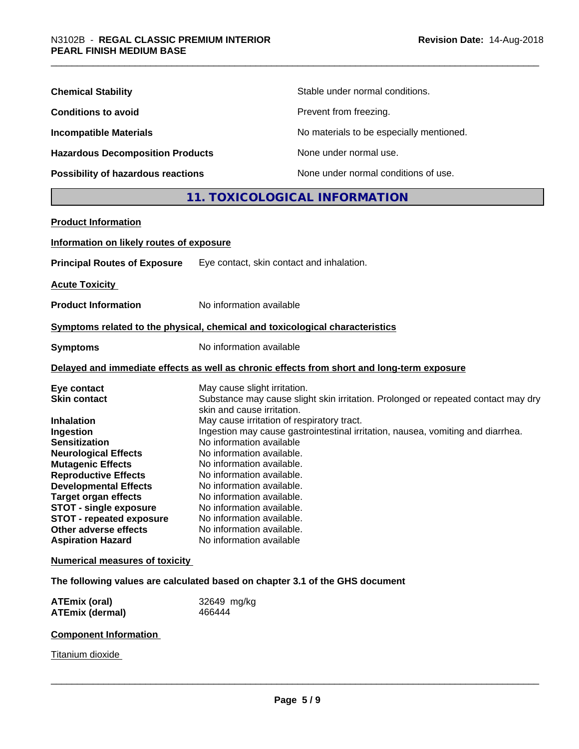| <b>Chemical Stability</b>               | Stable under normal conditions.          |
|-----------------------------------------|------------------------------------------|
| <b>Conditions to avoid</b>              | Prevent from freezing.                   |
| <b>Incompatible Materials</b>           | No materials to be especially mentioned. |
| <b>Hazardous Decomposition Products</b> | None under normal use.                   |
| Possibility of hazardous reactions      | None under normal conditions of use.     |

# **11. TOXICOLOGICAL INFORMATION**

| <b>Product Information</b>                     |                                                                                            |
|------------------------------------------------|--------------------------------------------------------------------------------------------|
| Information on likely routes of exposure       |                                                                                            |
| <b>Principal Routes of Exposure</b>            | Eye contact, skin contact and inhalation.                                                  |
| <b>Acute Toxicity</b>                          |                                                                                            |
| <b>Product Information</b>                     | No information available                                                                   |
|                                                | Symptoms related to the physical, chemical and toxicological characteristics               |
| <b>Symptoms</b>                                | No information available                                                                   |
|                                                | Delayed and immediate effects as well as chronic effects from short and long-term exposure |
| Eye contact                                    | May cause slight irritation.                                                               |
| <b>Skin contact</b>                            | Substance may cause slight skin irritation. Prolonged or repeated contact may dry          |
| <b>Inhalation</b>                              | skin and cause irritation.<br>May cause irritation of respiratory tract.                   |
| Ingestion                                      | Ingestion may cause gastrointestinal irritation, nausea, vomiting and diarrhea.            |
| <b>Sensitization</b>                           | No information available                                                                   |
| <b>Neurological Effects</b>                    | No information available.                                                                  |
| <b>Mutagenic Effects</b>                       | No information available.                                                                  |
| <b>Reproductive Effects</b>                    | No information available.                                                                  |
| <b>Developmental Effects</b>                   | No information available.                                                                  |
| <b>Target organ effects</b>                    | No information available.                                                                  |
| <b>STOT - single exposure</b>                  | No information available.                                                                  |
| <b>STOT - repeated exposure</b>                | No information available.                                                                  |
| Other adverse effects                          | No information available.                                                                  |
| <b>Aspiration Hazard</b>                       | No information available                                                                   |
|                                                |                                                                                            |
| <b>Numerical measures of toxicity</b>          |                                                                                            |
|                                                | The following values are calculated based on chapter 3.1 of the GHS document               |
| <b>ATEmix (oral)</b><br><b>ATEmix (dermal)</b> | 32649 mg/kg<br>466444                                                                      |
|                                                |                                                                                            |

## **Component Information**

**Titanium dioxide**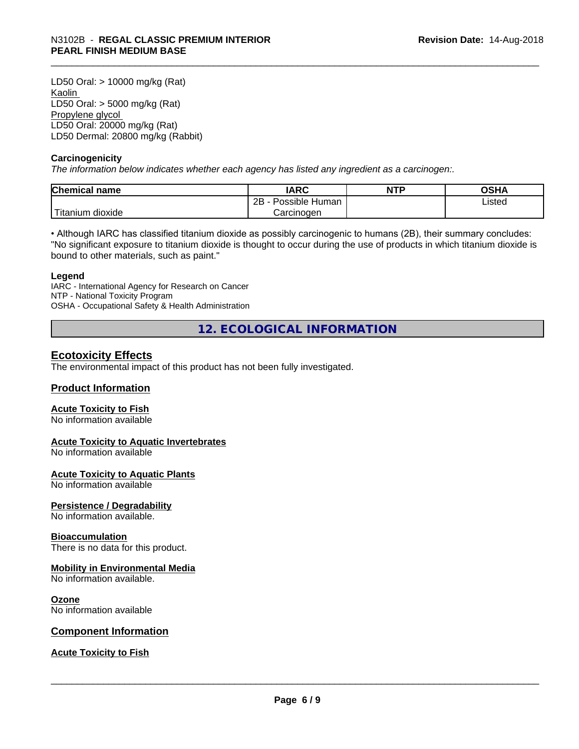LD50 Oral: > 10000 mg/kg (Rat) Kaolin LD50 Oral: > 5000 mg/kg (Rat) Propylene glycol LD50 Oral: 20000 mg/kg (Rat) LD50 Dermal: 20800 mg/kg (Rabbit)

#### **Carcinogenicity**

*The information below indicateswhether each agency has listed any ingredient as a carcinogen:.*

| Chemical<br>∣ name     | <b>IARC</b>                  | <b>NTP</b> | OSHA   |
|------------------------|------------------------------|------------|--------|
|                        | .<br>2B<br>Human<br>Possible |            | Listed |
| n dioxide<br>l itanium | Carcinoɑen                   |            |        |

• Although IARC has classified titanium dioxide as possibly carcinogenic to humans (2B), their summary concludes: "No significant exposure to titanium dioxide is thought to occur during the use of products in which titanium dioxide is bound to other materials, such as paint."

#### **Legend**

IARC - International Agency for Research on Cancer NTP - National Toxicity Program OSHA - Occupational Safety & Health Administration

**12. ECOLOGICAL INFORMATION**

### **Ecotoxicity Effects**

The environmental impact of this product has not been fully investigated.

#### **Product Information**

#### **Acute Toxicity to Fish**

No information available

#### **Acute Toxicity to Aquatic Invertebrates**

No information available

#### **Acute Toxicity to Aquatic Plants**

No information available

#### **Persistence / Degradability**

No information available.

#### **Bioaccumulation**

There is no data for this product.

#### **Mobility in Environmental Media**

No information available.

#### **Ozone**

No information available

#### **Component Information**

#### **Acute Toxicity to Fish**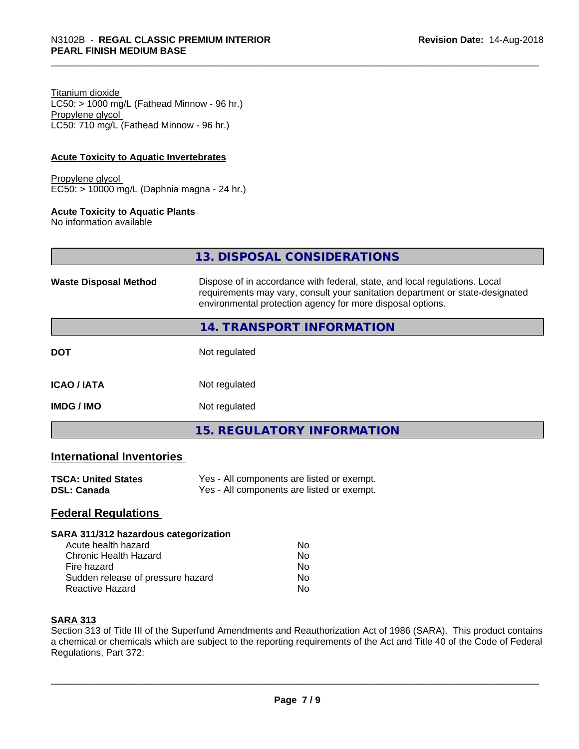Titanium dioxide  $LC50:$  > 1000 mg/L (Fathead Minnow - 96 hr.) Propylene glycol LC50: 710 mg/L (Fathead Minnow - 96 hr.)

#### **Acute Toxicity to Aquatic Invertebrates**

Propylene glycol EC50: > 10000 mg/L (Daphnia magna - 24 hr.)

#### **Acute Toxicity to Aquatic Plants**

No information available

| 13. DISPOSAL CONSIDERATIONS |  |
|-----------------------------|--|
|                             |  |

| <b>Waste Disposal Method</b> | Dispose of in accordance with federal, state, and local regulations. Local<br>requirements may vary, consult your sanitation department or state-designated<br>environmental protection agency for more disposal options. |  |
|------------------------------|---------------------------------------------------------------------------------------------------------------------------------------------------------------------------------------------------------------------------|--|
|                              | 14. TRANSPORT INFORMATION                                                                                                                                                                                                 |  |
| <b>DOT</b>                   | Not regulated                                                                                                                                                                                                             |  |
| <b>ICAO/IATA</b>             | Not regulated                                                                                                                                                                                                             |  |
| <b>IMDG/IMO</b>              | Not regulated                                                                                                                                                                                                             |  |
|                              | 15. REGULATORY INFORMATION                                                                                                                                                                                                |  |

#### **International Inventories**

| <b>TSCA: United States</b> | Yes - All components are listed or exempt. |
|----------------------------|--------------------------------------------|
| DSL: Canada                | Yes - All components are listed or exempt. |

#### **Federal Regulations**

#### **SARA 311/312 hazardous categorization**

| Acute health hazard               | Nο |  |
|-----------------------------------|----|--|
| Chronic Health Hazard             | N٥ |  |
| Fire hazard                       | N٥ |  |
| Sudden release of pressure hazard | Nο |  |
| Reactive Hazard                   | N٥ |  |

#### **SARA 313**

Section 313 of Title III of the Superfund Amendments and Reauthorization Act of 1986 (SARA). This product contains a chemical or chemicals which are subject to the reporting requirements of the Act and Title 40 of the Code of Federal Regulations, Part 372: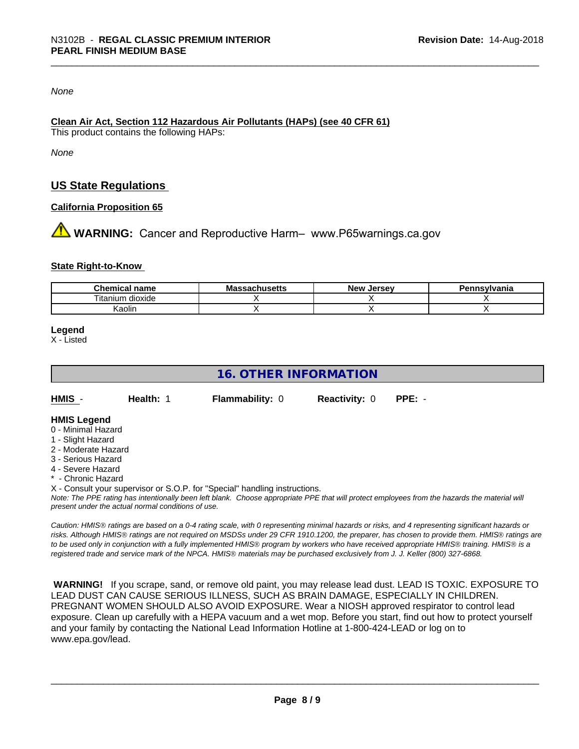#### *None*

#### **Clean Air Act,Section 112 Hazardous Air Pollutants (HAPs) (see 40 CFR 61)**

This product contains the following HAPs:

*None*

# **US State Regulations**

#### **California Proposition 65**

**AN** WARNING: Cancer and Reproductive Harm– www.P65warnings.ca.gov

#### **State Right-to-Know**

| name<br>$.$ ne $\sim$<br>***********          | - -<br>Ms<br>unus <del>c</del> แร | Jersev<br>سماN | vivania |
|-----------------------------------------------|-----------------------------------|----------------|---------|
| $\sim$<br>$- \cdot$ .<br>dioxide<br>l itanıum |                                   |                |         |
| Kaolin                                        |                                   |                |         |

#### **Legend**

X - Listed

# **16. OTHER INFORMATION**

| HMIS - | <b>Health: 1</b> | <b>Flammability: 0</b> | <b>Reactivity: 0</b> | $PPE: -$ |
|--------|------------------|------------------------|----------------------|----------|
|        |                  |                        |                      |          |

# **HMIS Legend**

- 0 Minimal Hazard
- 1 Slight Hazard
- 2 Moderate Hazard
- 3 Serious Hazard
- 4 Severe Hazard
- \* Chronic Hazard

X - Consult your supervisor or S.O.P. for "Special" handling instructions.

*Note: The PPE rating has intentionally been left blank. Choose appropriate PPE that will protect employees from the hazards the material will present under the actual normal conditions of use.*

*Caution: HMISÒ ratings are based on a 0-4 rating scale, with 0 representing minimal hazards or risks, and 4 representing significant hazards or risks. Although HMISÒ ratings are not required on MSDSs under 29 CFR 1910.1200, the preparer, has chosen to provide them. HMISÒ ratings are to be used only in conjunction with a fully implemented HMISÒ program by workers who have received appropriate HMISÒ training. HMISÒ is a registered trade and service mark of the NPCA. HMISÒ materials may be purchased exclusively from J. J. Keller (800) 327-6868.*

 **WARNING!** If you scrape, sand, or remove old paint, you may release lead dust. LEAD IS TOXIC. EXPOSURE TO LEAD DUST CAN CAUSE SERIOUS ILLNESS, SUCH AS BRAIN DAMAGE, ESPECIALLY IN CHILDREN. PREGNANT WOMEN SHOULD ALSO AVOID EXPOSURE.Wear a NIOSH approved respirator to control lead exposure. Clean up carefully with a HEPA vacuum and a wet mop. Before you start, find out how to protect yourself and your family by contacting the National Lead Information Hotline at 1-800-424-LEAD or log on to www.epa.gov/lead.